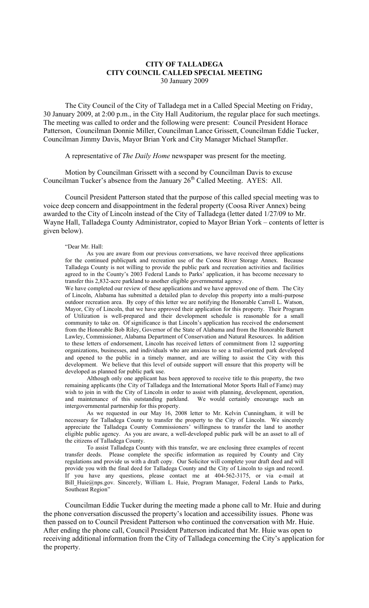## **CITY OF TALLADEGA CITY COUNCIL CALLED SPECIAL MEETING** 30 January 2009

The City Council of the City of Talladega met in a Called Special Meeting on Friday, 30 January 2009, at 2:00 p.m., in the City Hall Auditorium, the regular place for such meetings. The meeting was called to order and the following were present: Council President Horace Patterson, Councilman Donnie Miller, Councilman Lance Grissett, Councilman Eddie Tucker, Councilman Jimmy Davis, Mayor Brian York and City Manager Michael Stampfler.

## A representative of *The Daily Home* newspaper was present for the meeting.

Motion by Councilman Grissett with a second by Councilman Davis to excuse Councilman Tucker's absence from the January  $26<sup>th</sup>$  Called Meeting. AYES: All.

Council President Patterson stated that the purpose of this called special meeting was to voice deep concern and disappointment in the federal property (Coosa River Annex) being awarded to the City of Lincoln instead of the City of Talladega (letter dated 1/27/09 to Mr. Wayne Hall, Talladega County Administrator, copied to Mayor Brian York – contents of letter is given below).

## "Dear Mr. Hall:

As you are aware from our previous conversations, we have received three applications for the continued publicpark and recreation use of the Coosa River Storage Annex. Because Talladega County is not willing to provide the public park and recreation activities and facilities agreed to in the County's 2003 Federal Lands to Parks' application, it has become necessary to transfer this 2,832-acre parkland to another eligible governmental agency.

We have completed our review of these applications and we have approved one of them. The City of Lincoln, Alabama has submitted a detailed plan to develop this property into a multi-purpose outdoor recreation area. By copy of this letter we are notifying the Honorable Carroll L. Watson, Mayor, City of Lincoln, that we have approved their application for this property. Their Program of Utilization is well-prepared and their development schedule is reasonable for a small community to take on. Of significance is that Lincoln's application has received the endorsement from the Honorable Bob Riley, Governor of the State of Alabama and from the Honorable Barnett Lawley, Commissioner, Alabama Department of Conservation and Natural Resources. In addition to these letters of endorsement, Lincoln has received letters of commitment from 12 supporting organizations, businesses, and individuals who are anxious to see a trail-oriented park developed and opened to the public in a timely manner, and are willing to assist the City with this development. We believe that this level of outside support will ensure that this property will be developed as planned for public park use.

Although only one applicant has been approved to receive title to this property, the two remaining applicants (the City of Talladega and the International Motor Sports Hall of Fame) may wish to join in with the City of Lincoln in order to assist with planning, development, operation, and maintenance of this outstanding parkland. We would certainly encourage such an intergovernmental partnership for this property.

As we requested in our May 16, 2008 letter to Mr. Kelvin Cunningham, it will be necessary for Talladega County to transfer the property to the City of Lincoln. We sincerely appreciate the Talladega County Commissioners' willingness to transfer the land to another eligible public agency. As you are aware, a well-developed public park will be an asset to all of the citizens of Talladega County.

To assist Talladega County with this transfer, we are enclosing three examples of recent transfer deeds. Please complete the specific information as required by County and City regulations and provide us with a draft copy. Our Solicitor will complete your draft deed and will provide you with the final deed for Talladega County and the City of Lincoln to sign and record. If you have any questions, please contact me at 404-562-3175, or via e-mail at Bill Huie@nps.gov. Sincerely, William L. Huie, Program Manager, Federal Lands to Parks, Southeast Region"

Councilman Eddie Tucker during the meeting made a phone call to Mr. Huie and during the phone conversation discussed the property's location and accessibility issues. Phone was then passed on to Council President Patterson who continued the conversation with Mr. Huie. After ending the phone call, Council President Patterson indicated that Mr. Huie was open to receiving additional information from the City of Talladega concerning the City's application for the property.